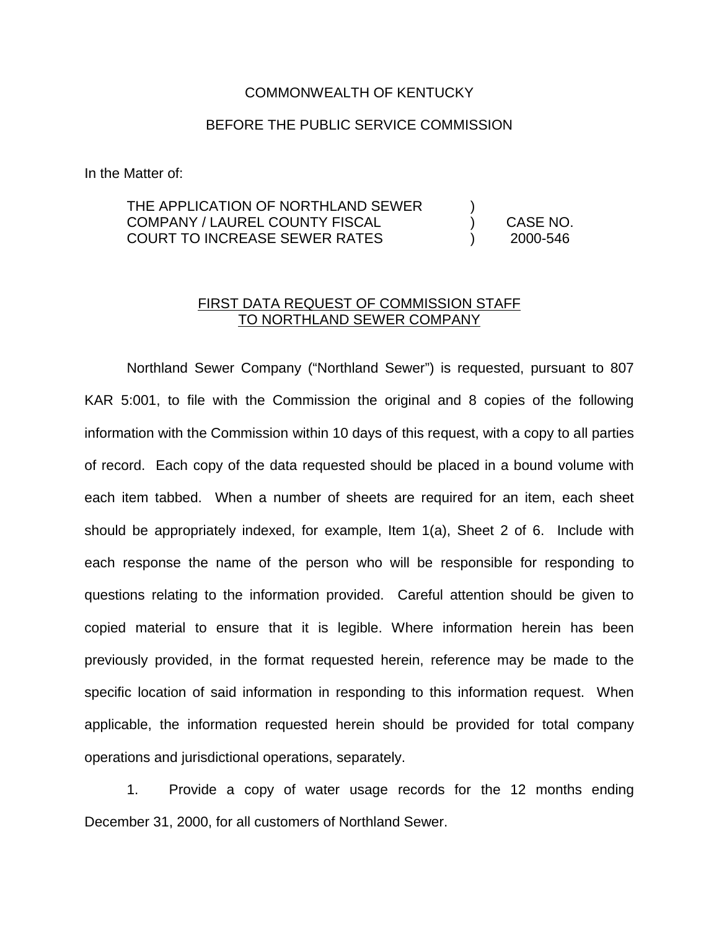## COMMONWEALTH OF KENTUCKY

## BEFORE THE PUBLIC SERVICE COMMISSION

In the Matter of:

## THE APPLICATION OF NORTHLAND SEWER COMPANY / LAUREL COUNTY FISCAL COURT TO INCREASE SEWER RATES ) ) CASE NO. ) 2000-546

## FIRST DATA REQUEST OF COMMISSION STAFF TO NORTHLAND SEWER COMPANY

Northland Sewer Company ("Northland Sewer") is requested, pursuant to 807 KAR 5:001, to file with the Commission the original and 8 copies of the following information with the Commission within 10 days of this request, with a copy to all parties of record. Each copy of the data requested should be placed in a bound volume with each item tabbed. When a number of sheets are required for an item, each sheet should be appropriately indexed, for example, Item 1(a), Sheet 2 of 6. Include with each response the name of the person who will be responsible for responding to questions relating to the information provided. Careful attention should be given to copied material to ensure that it is legible. Where information herein has been previously provided, in the format requested herein, reference may be made to the specific location of said information in responding to this information request. When applicable, the information requested herein should be provided for total company operations and jurisdictional operations, separately.

1. Provide a copy of water usage records for the 12 months ending December 31, 2000, for all customers of Northland Sewer.